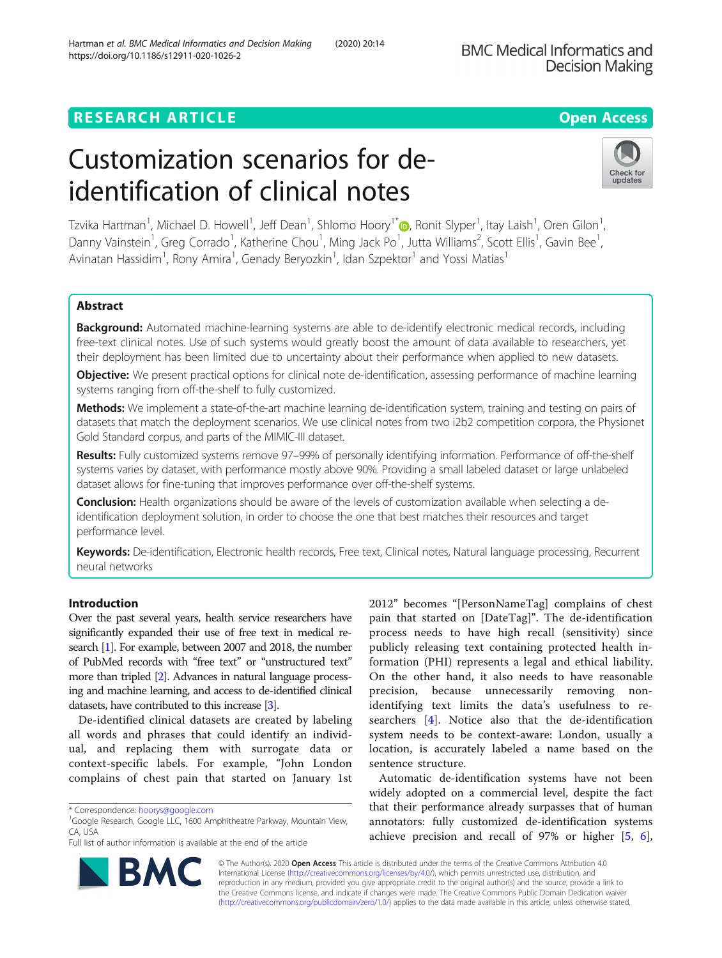# **RESEARCH ARTICLE Example 2014 12:30 The Contract of Contract ACCESS**

# Customization scenarios for deidentification of clinical notes

Tzvika Hartman<sup>1</sup>[,](http://orcid.org/0000-0002-8166-4428) Michael D. Howell<sup>1</sup>, Jeff Dean<sup>1</sup>, Shlomo Hoory<sup>1\*</sup>@, Ronit Slyper<sup>1</sup>, Itay Laish<sup>1</sup>, Oren Gilon<sup>1</sup> , Danny Vainstein<sup>1</sup>, Greg Corrado<sup>1</sup>, Katherine Chou<sup>1</sup>, Ming Jack Po<sup>1</sup>, Jutta Williams<sup>2</sup>, Scott Ellis<sup>1</sup>, Gavin Bee<sup>1</sup> , Avinatan Hassidim<sup>1</sup>, Rony Amira<sup>1</sup>, Genady Beryozkin<sup>1</sup>, Idan Szpektor<sup>1</sup> and Yossi Matias<sup>1</sup>

# Abstract

**Background:** Automated machine-learning systems are able to de-identify electronic medical records, including free-text clinical notes. Use of such systems would greatly boost the amount of data available to researchers, yet their deployment has been limited due to uncertainty about their performance when applied to new datasets.

Objective: We present practical options for clinical note de-identification, assessing performance of machine learning systems ranging from off-the-shelf to fully customized.

Methods: We implement a state-of-the-art machine learning de-identification system, training and testing on pairs of datasets that match the deployment scenarios. We use clinical notes from two i2b2 competition corpora, the Physionet Gold Standard corpus, and parts of the MIMIC-III dataset.

Results: Fully customized systems remove 97-99% of personally identifying information. Performance of off-the-shelf systems varies by dataset, with performance mostly above 90%. Providing a small labeled dataset or large unlabeled dataset allows for fine-tuning that improves performance over off-the-shelf systems.

Conclusion: Health organizations should be aware of the levels of customization available when selecting a deidentification deployment solution, in order to choose the one that best matches their resources and target performance level.

Keywords: De-identification, Electronic health records, Free text, Clinical notes, Natural language processing, Recurrent neural networks

# Introduction

Over the past several years, health service researchers have significantly expanded their use of free text in medical research [\[1\]](#page-7-0). For example, between 2007 and 2018, the number of PubMed records with "free text" or "unstructured text" more than tripled [\[2\]](#page-7-0). Advances in natural language processing and machine learning, and access to de-identified clinical datasets, have contributed to this increase [\[3](#page-7-0)].

De-identified clinical datasets are created by labeling all words and phrases that could identify an individual, and replacing them with surrogate data or context-specific labels. For example, "John London complains of chest pain that started on January 1st

2012" becomes "[PersonNameTag] complains of chest pain that started on [DateTag]". The de-identification process needs to have high recall (sensitivity) since publicly releasing text containing protected health information (PHI) represents a legal and ethical liability. On the other hand, it also needs to have reasonable precision, because unnecessarily removing nonidentifying text limits the data's usefulness to researchers [\[4](#page-7-0)]. Notice also that the de-identification system needs to be context-aware: London, usually a location, is accurately labeled a name based on the sentence structure.

Automatic de-identification systems have not been widely adopted on a commercial level, despite the fact that their performance already surpasses that of human annotators: fully customized de-identification systems achieve precision and recall of 97% or higher [[5,](#page-7-0) [6](#page-7-0)],

© The Author(s). 2020 **Open Access** This article is distributed under the terms of the Creative Commons Attribution 4.0 International License [\(http://creativecommons.org/licenses/by/4.0/](http://creativecommons.org/licenses/by/4.0/)), which permits unrestricted use, distribution, and reproduction in any medium, provided you give appropriate credit to the original author(s) and the source, provide a link to the Creative Commons license, and indicate if changes were made. The Creative Commons Public Domain Dedication waiver [\(http://creativecommons.org/publicdomain/zero/1.0/](http://creativecommons.org/publicdomain/zero/1.0/)) applies to the data made available in this article, unless otherwise stated.

Hartman et al. BMC Medical Informatics and Decision Making (2020) 20:14 https://doi.org/10.1186/s12911-020-1026-2





<sup>\*</sup> Correspondence: [hoorys@google.com](mailto:hoorys@google.com) <sup>1</sup>

<sup>&</sup>lt;sup>1</sup>Google Research, Google LLC, 1600 Amphitheatre Parkway, Mountain View, CA, USA

Full list of author information is available at the end of the article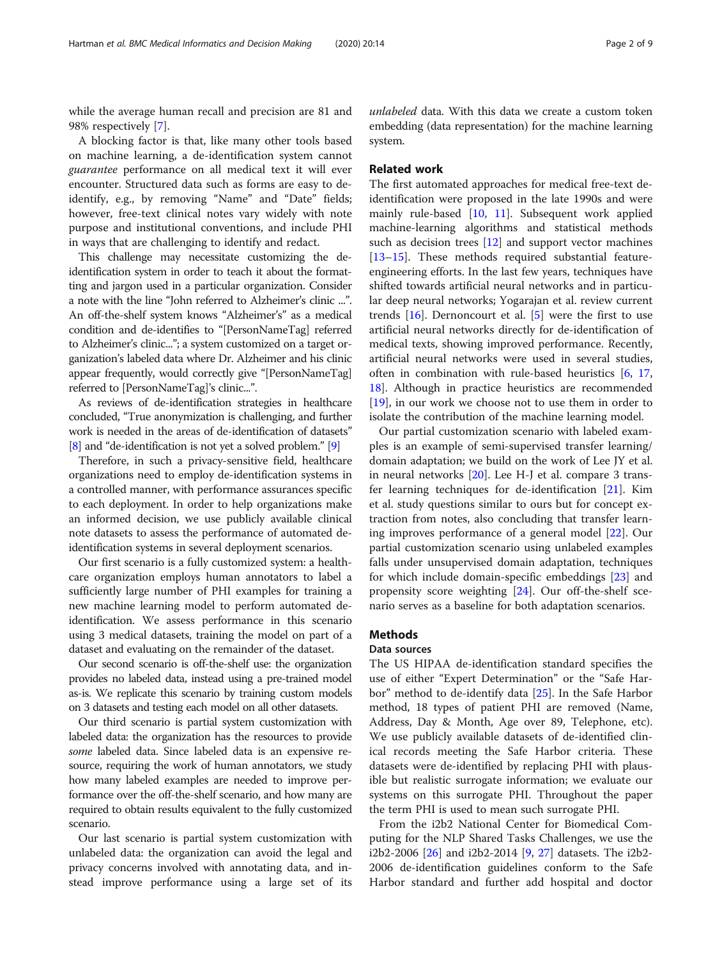while the average human recall and precision are 81 and 98% respectively [[7\]](#page-7-0).

A blocking factor is that, like many other tools based on machine learning, a de-identification system cannot guarantee performance on all medical text it will ever encounter. Structured data such as forms are easy to deidentify, e.g., by removing "Name" and "Date" fields; however, free-text clinical notes vary widely with note purpose and institutional conventions, and include PHI in ways that are challenging to identify and redact.

This challenge may necessitate customizing the deidentification system in order to teach it about the formatting and jargon used in a particular organization. Consider a note with the line "John referred to Alzheimer's clinic ...". An off-the-shelf system knows "Alzheimer's" as a medical condition and de-identifies to "[PersonNameTag] referred to Alzheimer's clinic..."; a system customized on a target organization's labeled data where Dr. Alzheimer and his clinic appear frequently, would correctly give "[PersonNameTag] referred to [PersonNameTag]'s clinic...".

As reviews of de-identification strategies in healthcare concluded, "True anonymization is challenging, and further work is needed in the areas of de-identification of datasets" [[8](#page-7-0)] and "de-identification is not yet a solved problem." [\[9\]](#page-7-0)

Therefore, in such a privacy-sensitive field, healthcare organizations need to employ de-identification systems in a controlled manner, with performance assurances specific to each deployment. In order to help organizations make an informed decision, we use publicly available clinical note datasets to assess the performance of automated deidentification systems in several deployment scenarios.

Our first scenario is a fully customized system: a healthcare organization employs human annotators to label a sufficiently large number of PHI examples for training a new machine learning model to perform automated deidentification. We assess performance in this scenario using 3 medical datasets, training the model on part of a dataset and evaluating on the remainder of the dataset.

Our second scenario is off-the-shelf use: the organization provides no labeled data, instead using a pre-trained model as-is. We replicate this scenario by training custom models on 3 datasets and testing each model on all other datasets.

Our third scenario is partial system customization with labeled data: the organization has the resources to provide some labeled data. Since labeled data is an expensive resource, requiring the work of human annotators, we study how many labeled examples are needed to improve performance over the off-the-shelf scenario, and how many are required to obtain results equivalent to the fully customized scenario.

Our last scenario is partial system customization with unlabeled data: the organization can avoid the legal and privacy concerns involved with annotating data, and instead improve performance using a large set of its

unlabeled data. With this data we create a custom token embedding (data representation) for the machine learning system.

# Related work

The first automated approaches for medical free-text deidentification were proposed in the late 1990s and were mainly rule-based  $[10, 11]$  $[10, 11]$  $[10, 11]$  $[10, 11]$ . Subsequent work applied machine-learning algorithms and statistical methods such as decision trees [[12](#page-7-0)] and support vector machines [[13](#page-7-0)–[15](#page-7-0)]. These methods required substantial featureengineering efforts. In the last few years, techniques have shifted towards artificial neural networks and in particular deep neural networks; Yogarajan et al. review current trends  $[16]$  $[16]$ . Dernoncourt et al.  $[5]$  $[5]$  were the first to use artificial neural networks directly for de-identification of medical texts, showing improved performance. Recently, artificial neural networks were used in several studies, often in combination with rule-based heuristics [[6,](#page-7-0) [17](#page-7-0), [18\]](#page-7-0). Although in practice heuristics are recommended [[19\]](#page-7-0), in our work we choose not to use them in order to isolate the contribution of the machine learning model.

Our partial customization scenario with labeled examples is an example of semi-supervised transfer learning/ domain adaptation; we build on the work of Lee JY et al. in neural networks [\[20](#page-7-0)]. Lee H-J et al. compare 3 transfer learning techniques for de-identification [[21\]](#page-7-0). Kim et al. study questions similar to ours but for concept extraction from notes, also concluding that transfer learning improves performance of a general model [\[22\]](#page-7-0). Our partial customization scenario using unlabeled examples falls under unsupervised domain adaptation, techniques for which include domain-specific embeddings [[23\]](#page-7-0) and propensity score weighting [\[24](#page-7-0)]. Our off-the-shelf scenario serves as a baseline for both adaptation scenarios.

## Methods

# Data sources

The US HIPAA de-identification standard specifies the use of either "Expert Determination" or the "Safe Harbor" method to de-identify data [\[25](#page-7-0)]. In the Safe Harbor method, 18 types of patient PHI are removed (Name, Address, Day & Month, Age over 89, Telephone, etc). We use publicly available datasets of de-identified clinical records meeting the Safe Harbor criteria. These datasets were de-identified by replacing PHI with plausible but realistic surrogate information; we evaluate our systems on this surrogate PHI. Throughout the paper the term PHI is used to mean such surrogate PHI.

From the i2b2 National Center for Biomedical Computing for the NLP Shared Tasks Challenges, we use the i2b2-2006 [[26\]](#page-7-0) and i2b2-2014 [[9,](#page-7-0) [27\]](#page-7-0) datasets. The i2b2- 2006 de-identification guidelines conform to the Safe Harbor standard and further add hospital and doctor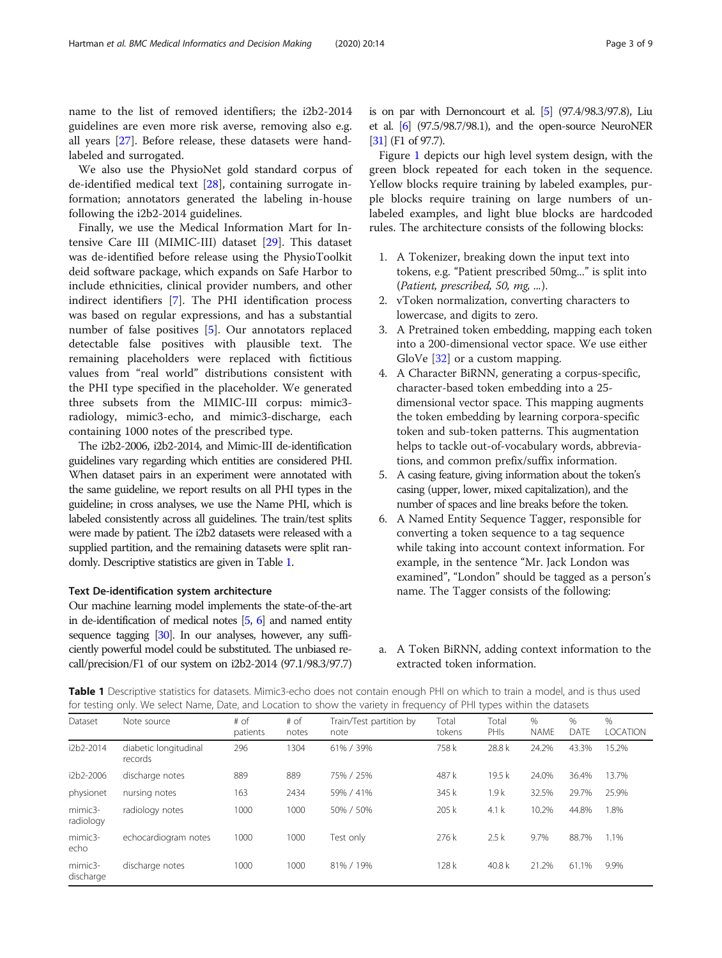<span id="page-2-0"></span>name to the list of removed identifiers; the i2b2-2014 guidelines are even more risk averse, removing also e.g. all years [\[27\]](#page-7-0). Before release, these datasets were handlabeled and surrogated.

We also use the PhysioNet gold standard corpus of de-identified medical text [[28](#page-7-0)], containing surrogate information; annotators generated the labeling in-house following the i2b2-2014 guidelines.

Finally, we use the Medical Information Mart for Intensive Care III (MIMIC-III) dataset [[29](#page-7-0)]. This dataset was de-identified before release using the PhysioToolkit deid software package, which expands on Safe Harbor to include ethnicities, clinical provider numbers, and other indirect identifiers [\[7](#page-7-0)]. The PHI identification process was based on regular expressions, and has a substantial number of false positives [[5\]](#page-7-0). Our annotators replaced detectable false positives with plausible text. The remaining placeholders were replaced with fictitious values from "real world" distributions consistent with the PHI type specified in the placeholder. We generated three subsets from the MIMIC-III corpus: mimic3 radiology, mimic3-echo, and mimic3-discharge, each containing 1000 notes of the prescribed type.

The i2b2-2006, i2b2-2014, and Mimic-III de-identification guidelines vary regarding which entities are considered PHI. When dataset pairs in an experiment were annotated with the same guideline, we report results on all PHI types in the guideline; in cross analyses, we use the Name PHI, which is labeled consistently across all guidelines. The train/test splits were made by patient. The i2b2 datasets were released with a supplied partition, and the remaining datasets were split randomly. Descriptive statistics are given in Table 1.

#### Text De-identification system architecture

Our machine learning model implements the state-of-the-art in de-identification of medical notes [\[5](#page-7-0), [6](#page-7-0)] and named entity sequence tagging [\[30](#page-7-0)]. In our analyses, however, any sufficiently powerful model could be substituted. The unbiased recall/precision/F1 of our system on i2b2-2014 (97.1/98.3/97.7) is on par with Dernoncourt et al. [\[5](#page-7-0)] (97.4/98.3/97.8), Liu et al. [\[6\]](#page-7-0) (97.5/98.7/98.1), and the open-source NeuroNER [[31\]](#page-7-0) (F1 of 97.7).

Figure [1](#page-3-0) depicts our high level system design, with the green block repeated for each token in the sequence. Yellow blocks require training by labeled examples, purple blocks require training on large numbers of unlabeled examples, and light blue blocks are hardcoded rules. The architecture consists of the following blocks:

- 1. A Tokenizer, breaking down the input text into tokens, e.g. "Patient prescribed 50mg..." is split into (Patient, prescribed, 50, mg, ...).
- 2. vToken normalization, converting characters to lowercase, and digits to zero.
- 3. A Pretrained token embedding, mapping each token into a 200-dimensional vector space. We use either GloVe [\[32\]](#page-7-0) or a custom mapping.
- 4. A Character BiRNN, generating a corpus-specific, character-based token embedding into a 25 dimensional vector space. This mapping augments the token embedding by learning corpora-specific token and sub-token patterns. This augmentation helps to tackle out-of-vocabulary words, abbreviations, and common prefix/suffix information.
- 5. A casing feature, giving information about the token's casing (upper, lower, mixed capitalization), and the number of spaces and line breaks before the token.
- 6. A Named Entity Sequence Tagger, responsible for converting a token sequence to a tag sequence while taking into account context information. For example, in the sentence "Mr. Jack London was examined", "London" should be tagged as a person's name. The Tagger consists of the following:

# a. A Token BiRNN, adding context information to the extracted token information.

Table 1 Descriptive statistics for datasets. Mimic3-echo does not contain enough PHI on which to train a model, and is thus used for testing only. We select Name, Date, and Location to show the variety in frequency of PHI types within the datasets

| Dataset              | Note source                      | # of<br>patients | $#$ of<br>notes | Train/Test partition by<br>note | Total<br>tokens | Total<br>PHIs | $\%$<br><b>NAME</b> | %<br><b>DATE</b> | $\%$<br><b>LOCATION</b> |
|----------------------|----------------------------------|------------------|-----------------|---------------------------------|-----------------|---------------|---------------------|------------------|-------------------------|
| i2b2-2014            | diabetic longitudinal<br>records | 296              | 1304            | 61% / 39%                       | 758 k           | 28.8 k        | 24.2%               | 43.3%            | 15.2%                   |
| i2b2-2006            | discharge notes                  | 889              | 889             | 75% / 25%                       | 487 k           | 19.5k         | 24.0%               | 36.4%            | 13.7%                   |
| physionet            | nursing notes                    | 163              | 2434            | 59% / 41%                       | 345 k           | 1.9k          | 32.5%               | 29.7%            | 25.9%                   |
| mimic3-<br>radiology | radiology notes                  | 1000             | 1000            | 50% / 50%                       | 205k            | 4.1k          | 10.2%               | 44.8%            | 1.8%                    |
| $minic3-$<br>echo    | echocardiogram notes             | 1000             | 1000            | Test only                       | 276 k           | 2.5k          | 9.7%                | 88.7%            | 1.1%                    |
| mimic3-<br>discharge | discharge notes                  | 1000             | 1000            | 81% / 19%                       | 128k            | 40.8 $k$      | 21.2%               | 61.1%            | 9.9%                    |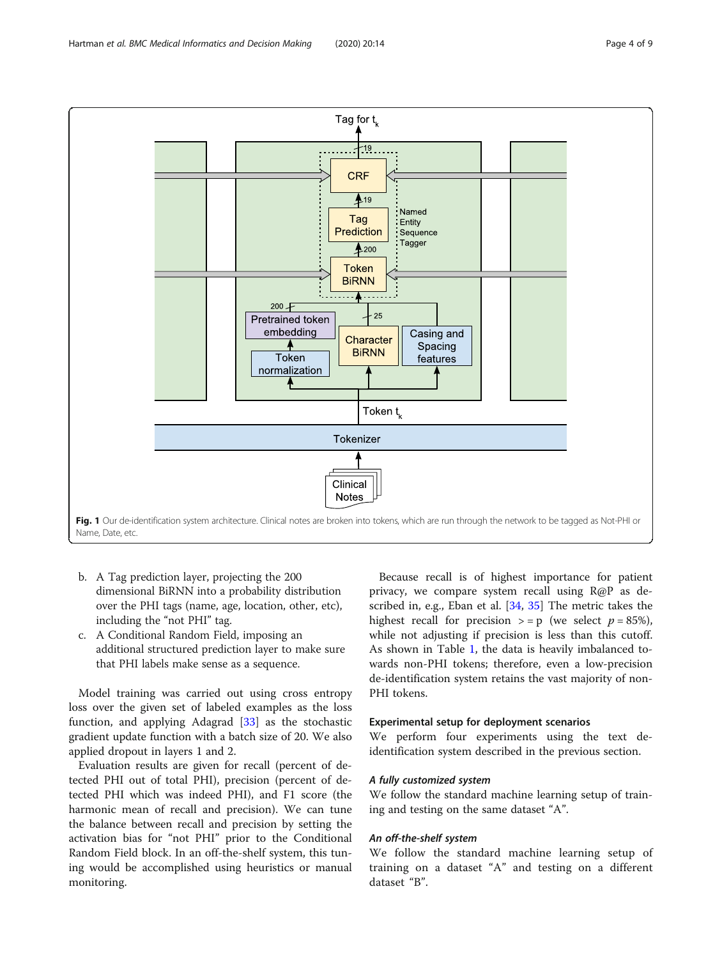<span id="page-3-0"></span>

- b. A Tag prediction layer, projecting the 200 dimensional BiRNN into a probability distribution over the PHI tags (name, age, location, other, etc), including the "not PHI" tag.
- c. A Conditional Random Field, imposing an additional structured prediction layer to make sure that PHI labels make sense as a sequence.

Model training was carried out using cross entropy loss over the given set of labeled examples as the loss function, and applying Adagrad [[33\]](#page-7-0) as the stochastic gradient update function with a batch size of 20. We also applied dropout in layers 1 and 2.

Evaluation results are given for recall (percent of detected PHI out of total PHI), precision (percent of detected PHI which was indeed PHI), and F1 score (the harmonic mean of recall and precision). We can tune the balance between recall and precision by setting the activation bias for "not PHI" prior to the Conditional Random Field block. In an off-the-shelf system, this tuning would be accomplished using heuristics or manual monitoring.

Because recall is of highest importance for patient privacy, we compare system recall using R@P as de-scribed in, e.g., Eban et al. [\[34](#page-7-0), [35\]](#page-8-0) The metric takes the highest recall for precision  $> = p$  (we select  $p = 85\%$ ), while not adjusting if precision is less than this cutoff. As shown in Table [1](#page-2-0), the data is heavily imbalanced towards non-PHI tokens; therefore, even a low-precision de-identification system retains the vast majority of non-PHI tokens.

## Experimental setup for deployment scenarios

We perform four experiments using the text deidentification system described in the previous section.

#### A fully customized system

We follow the standard machine learning setup of training and testing on the same dataset "A".

#### An off-the-shelf system

We follow the standard machine learning setup of training on a dataset "A" and testing on a different dataset "B".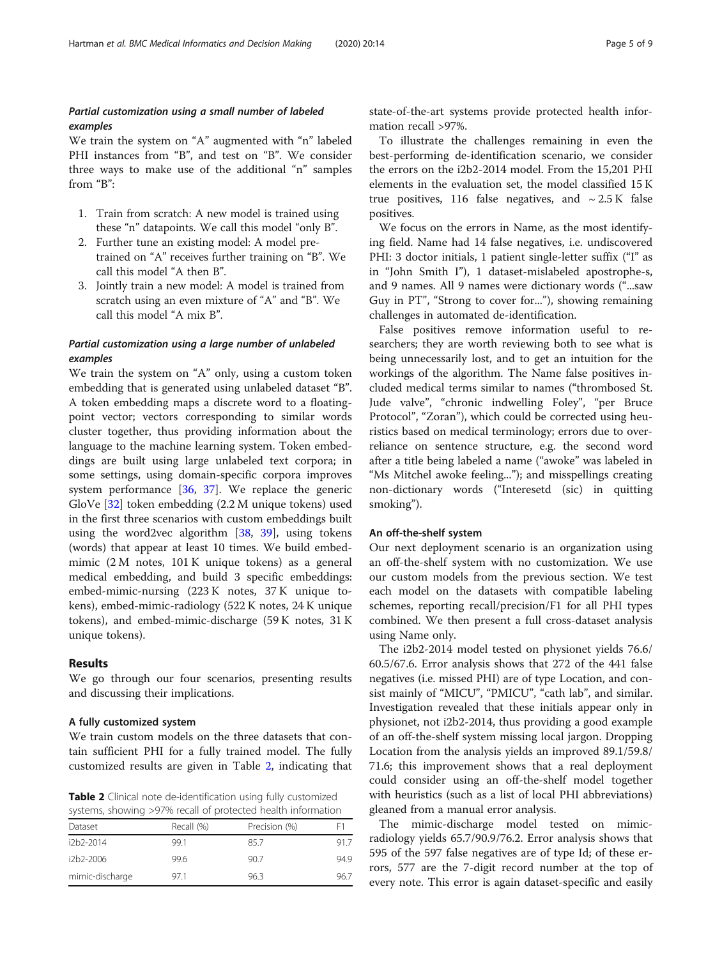# Partial customization using a small number of labeled examples

We train the system on "A" augmented with "n" labeled PHI instances from "B", and test on "B". We consider three ways to make use of the additional "n" samples from "B":

- 1. Train from scratch: A new model is trained using these "n" datapoints. We call this model "only B".
- 2. Further tune an existing model: A model pretrained on "A" receives further training on "B". We call this model "A then B".
- 3. Jointly train a new model: A model is trained from scratch using an even mixture of "A" and "B". We call this model "A mix B".

# Partial customization using a large number of unlabeled examples

We train the system on "A" only, using a custom token embedding that is generated using unlabeled dataset "B". A token embedding maps a discrete word to a floatingpoint vector; vectors corresponding to similar words cluster together, thus providing information about the language to the machine learning system. Token embeddings are built using large unlabeled text corpora; in some settings, using domain-specific corpora improves system performance [\[36](#page-8-0), [37\]](#page-8-0). We replace the generic GloVe [[32\]](#page-7-0) token embedding (2.2 M unique tokens) used in the first three scenarios with custom embeddings built using the word2vec algorithm  $[38, 39]$  $[38, 39]$  $[38, 39]$ , using tokens (words) that appear at least 10 times. We build embedmimic (2 M notes, 101 K unique tokens) as a general medical embedding, and build 3 specific embeddings: embed-mimic-nursing (223 K notes, 37 K unique tokens), embed-mimic-radiology (522 K notes, 24 K unique tokens), and embed-mimic-discharge (59 K notes, 31 K unique tokens).

#### Results

We go through our four scenarios, presenting results and discussing their implications.

#### A fully customized system

We train custom models on the three datasets that contain sufficient PHI for a fully trained model. The fully customized results are given in Table 2, indicating that

Table 2 Clinical note de-identification using fully customized systems, showing >97% recall of protected health information

| Dataset         | Recall (%) | Precision (%) | F1   |
|-----------------|------------|---------------|------|
| $12h$ $2-2014$  | 99.1       | 85.7          | 91.7 |
| $12h$ $2-200f$  | 99.6       | 90.7          | 94.9 |
| mimic-discharge | 971        | 96.3          | 96.7 |

state-of-the-art systems provide protected health information recall >97%.

To illustrate the challenges remaining in even the best-performing de-identification scenario, we consider the errors on the i2b2-2014 model. From the 15,201 PHI elements in the evaluation set, the model classified 15 K true positives, 116 false negatives, and  $\sim 2.5$  K false positives.

We focus on the errors in Name, as the most identifying field. Name had 14 false negatives, i.e. undiscovered PHI: 3 doctor initials, 1 patient single-letter suffix ("I" as in "John Smith I"), 1 dataset-mislabeled apostrophe-s, and 9 names. All 9 names were dictionary words ("...saw Guy in PT", "Strong to cover for..."), showing remaining challenges in automated de-identification.

False positives remove information useful to researchers; they are worth reviewing both to see what is being unnecessarily lost, and to get an intuition for the workings of the algorithm. The Name false positives included medical terms similar to names ("thrombosed St. Jude valve", "chronic indwelling Foley", "per Bruce Protocol", "Zoran"), which could be corrected using heuristics based on medical terminology; errors due to overreliance on sentence structure, e.g. the second word after a title being labeled a name ("awoke" was labeled in "Ms Mitchel awoke feeling..."); and misspellings creating non-dictionary words ("Interesetd (sic) in quitting smoking").

#### An off-the-shelf system

Our next deployment scenario is an organization using an off-the-shelf system with no customization. We use our custom models from the previous section. We test each model on the datasets with compatible labeling schemes, reporting recall/precision/F1 for all PHI types combined. We then present a full cross-dataset analysis using Name only.

The i2b2-2014 model tested on physionet yields 76.6/ 60.5/67.6. Error analysis shows that 272 of the 441 false negatives (i.e. missed PHI) are of type Location, and consist mainly of "MICU", "PMICU", "cath lab", and similar. Investigation revealed that these initials appear only in physionet, not i2b2-2014, thus providing a good example of an off-the-shelf system missing local jargon. Dropping Location from the analysis yields an improved 89.1/59.8/ 71.6; this improvement shows that a real deployment could consider using an off-the-shelf model together with heuristics (such as a list of local PHI abbreviations) gleaned from a manual error analysis.

The mimic-discharge model tested on mimicradiology yields 65.7/90.9/76.2. Error analysis shows that 595 of the 597 false negatives are of type Id; of these errors, 577 are the 7-digit record number at the top of every note. This error is again dataset-specific and easily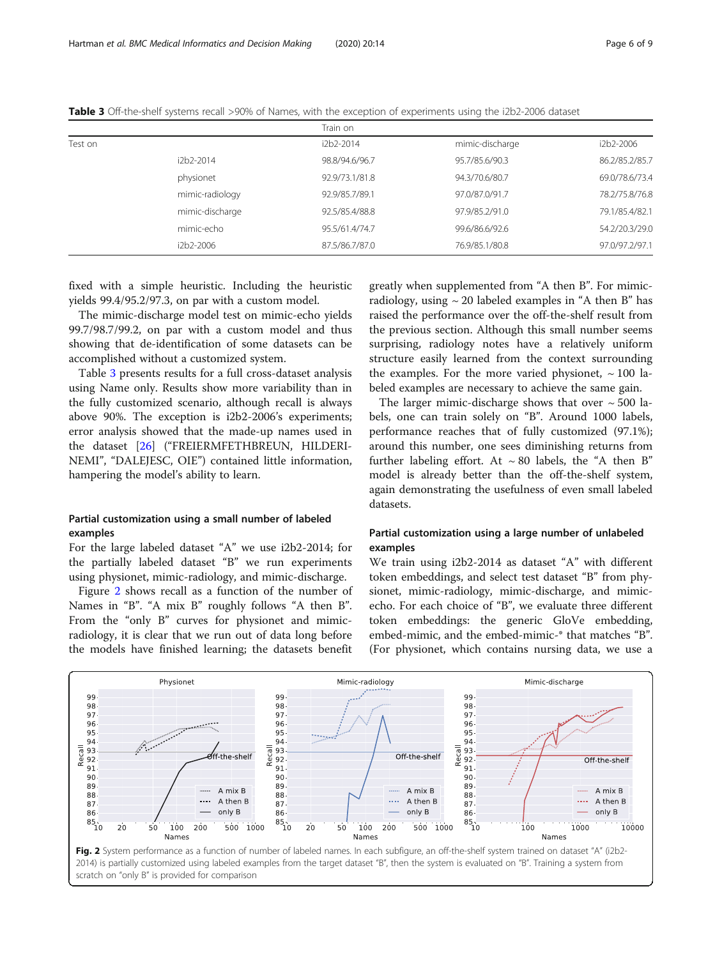|         |                 | Train on       |                 |                |
|---------|-----------------|----------------|-----------------|----------------|
| Test on |                 | i2b2-2014      | mimic-discharge | i2b2-2006      |
|         | i2b2-2014       | 98.8/94.6/96.7 | 95.7/85.6/90.3  | 86.2/85.2/85.7 |
|         | physionet       | 92.9/73.1/81.8 | 94.3/70.6/80.7  | 69.0/78.6/73.4 |
|         | mimic-radiology | 92.9/85.7/89.1 | 97.0/87.0/91.7  | 78.2/75.8/76.8 |
|         | mimic-discharge | 92.5/85.4/88.8 | 97.9/85.2/91.0  | 79.1/85.4/82.1 |
|         | mimic-echo      | 95.5/61.4/74.7 | 99.6/86.6/92.6  | 54.2/20.3/29.0 |
|         | i2b2-2006       | 87.5/86.7/87.0 | 76.9/85.1/80.8  | 97.0/97.2/97.1 |
|         |                 |                |                 |                |

Table 3 Off-the-shelf systems recall >90% of Names, with the exception of experiments using the i2b2-2006 dataset

fixed with a simple heuristic. Including the heuristic yields 99.4/95.2/97.3, on par with a custom model.

The mimic-discharge model test on mimic-echo yields 99.7/98.7/99.2, on par with a custom model and thus showing that de-identification of some datasets can be accomplished without a customized system.

Table 3 presents results for a full cross-dataset analysis using Name only. Results show more variability than in the fully customized scenario, although recall is always above 90%. The exception is i2b2-2006's experiments; error analysis showed that the made-up names used in the dataset [\[26](#page-7-0)] ("FREIERMFETHBREUN, HILDERI-NEMI", "DALEJESC, OIE") contained little information, hampering the model's ability to learn.

# Partial customization using a small number of labeled examples

For the large labeled dataset "A" we use i2b2-2014; for the partially labeled dataset "B" we run experiments using physionet, mimic-radiology, and mimic-discharge.

Figure 2 shows recall as a function of the number of Names in "B". "A mix B" roughly follows "A then B". From the "only B" curves for physionet and mimicradiology, it is clear that we run out of data long before the models have finished learning; the datasets benefit

greatly when supplemented from "A then B". For mimicradiology, using  $\sim$  20 labeled examples in "A then B" has raised the performance over the off-the-shelf result from the previous section. Although this small number seems surprising, radiology notes have a relatively uniform structure easily learned from the context surrounding the examples. For the more varied physionet,  $\sim 100$  labeled examples are necessary to achieve the same gain.

The larger mimic-discharge shows that over  $\sim$  500 labels, one can train solely on "B". Around 1000 labels, performance reaches that of fully customized (97.1%); around this number, one sees diminishing returns from further labeling effort. At  $\sim 80$  labels, the "A then B" model is already better than the off-the-shelf system, again demonstrating the usefulness of even small labeled datasets.

# Partial customization using a large number of unlabeled examples

We train using i2b2-2014 as dataset "A" with different token embeddings, and select test dataset "B" from physionet, mimic-radiology, mimic-discharge, and mimicecho. For each choice of "B", we evaluate three different token embeddings: the generic GloVe embedding, embed-mimic, and the embed-mimic-\* that matches "B". (For physionet, which contains nursing data, we use a

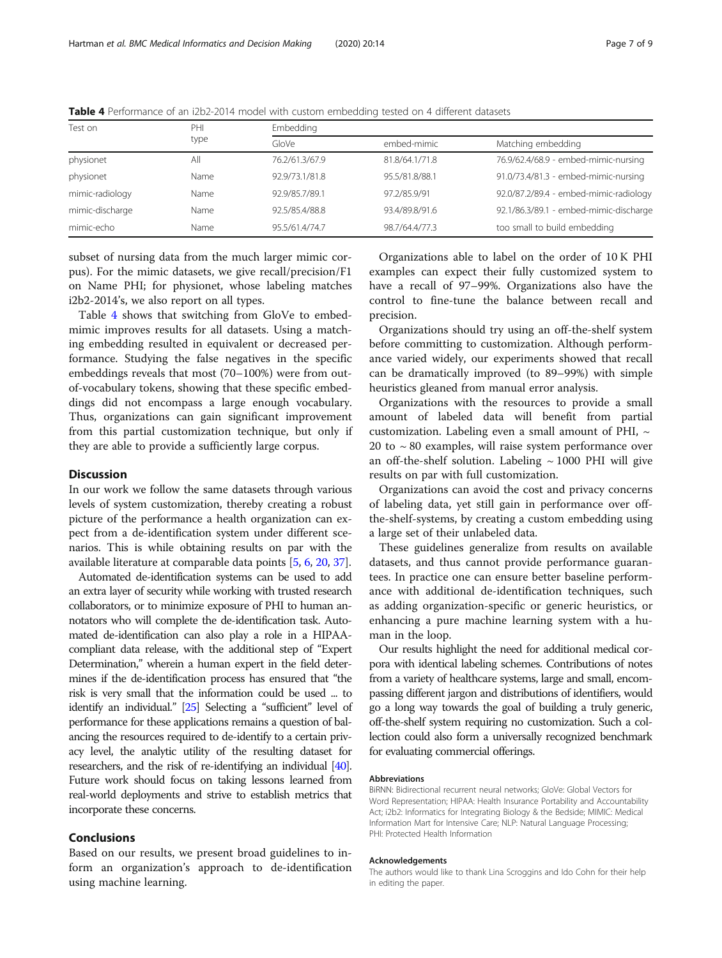| Test on         | PHI  | Embedding      |                |                                        |  |  |  |
|-----------------|------|----------------|----------------|----------------------------------------|--|--|--|
|                 | type | GloVe          | embed-mimic    | Matching embedding                     |  |  |  |
| physionet       | All  | 76.2/61.3/67.9 | 81.8/64.1/71.8 | 76.9/62.4/68.9 - embed-mimic-nursing   |  |  |  |
| physionet       | Name | 92.9/73.1/81.8 | 95.5/81.8/88.1 | 91.0/73.4/81.3 - embed-mimic-nursing   |  |  |  |
| mimic-radiology | Name | 92.9/85.7/89.1 | 97.2/85.9/91   | 92.0/87.2/89.4 - embed-mimic-radiology |  |  |  |
| mimic-discharge | Name | 92.5/85.4/88.8 | 93.4/89.8/91.6 | 92.1/86.3/89.1 - embed-mimic-discharge |  |  |  |
| mimic-echo      | Name | 95.5/61.4/74.7 | 98.7/64.4/77.3 | too small to build embedding           |  |  |  |

Table 4 Performance of an i2b2-2014 model with custom embedding tested on 4 different datasets

subset of nursing data from the much larger mimic corpus). For the mimic datasets, we give recall/precision/F1 on Name PHI; for physionet, whose labeling matches i2b2-2014's, we also report on all types.

Table 4 shows that switching from GloVe to embedmimic improves results for all datasets. Using a matching embedding resulted in equivalent or decreased performance. Studying the false negatives in the specific embeddings reveals that most (70–100%) were from outof-vocabulary tokens, showing that these specific embeddings did not encompass a large enough vocabulary. Thus, organizations can gain significant improvement from this partial customization technique, but only if they are able to provide a sufficiently large corpus.

## **Discussion**

In our work we follow the same datasets through various levels of system customization, thereby creating a robust picture of the performance a health organization can expect from a de-identification system under different scenarios. This is while obtaining results on par with the available literature at comparable data points [[5](#page-7-0), [6,](#page-7-0) [20](#page-7-0), [37\]](#page-8-0).

Automated de-identification systems can be used to add an extra layer of security while working with trusted research collaborators, or to minimize exposure of PHI to human annotators who will complete the de-identification task. Automated de-identification can also play a role in a HIPAAcompliant data release, with the additional step of "Expert Determination," wherein a human expert in the field determines if the de-identification process has ensured that "the risk is very small that the information could be used ... to identify an individual." [[25\]](#page-7-0) Selecting a "sufficient" level of performance for these applications remains a question of balancing the resources required to de-identify to a certain privacy level, the analytic utility of the resulting dataset for researchers, and the risk of re-identifying an individual [\[40\]](#page-8-0). Future work should focus on taking lessons learned from real-world deployments and strive to establish metrics that incorporate these concerns.

#### Conclusions

Based on our results, we present broad guidelines to inform an organization's approach to de-identification using machine learning.

Organizations able to label on the order of 10 K PHI examples can expect their fully customized system to have a recall of 97–99%. Organizations also have the control to fine-tune the balance between recall and precision.

Organizations should try using an off-the-shelf system before committing to customization. Although performance varied widely, our experiments showed that recall can be dramatically improved (to 89–99%) with simple heuristics gleaned from manual error analysis.

Organizations with the resources to provide a small amount of labeled data will benefit from partial customization. Labeling even a small amount of PHI,  $\sim$ 20 to  $\sim$  80 examples, will raise system performance over an off-the-shelf solution. Labeling  $\sim$  1000 PHI will give results on par with full customization.

Organizations can avoid the cost and privacy concerns of labeling data, yet still gain in performance over offthe-shelf-systems, by creating a custom embedding using a large set of their unlabeled data.

These guidelines generalize from results on available datasets, and thus cannot provide performance guarantees. In practice one can ensure better baseline performance with additional de-identification techniques, such as adding organization-specific or generic heuristics, or enhancing a pure machine learning system with a human in the loop.

Our results highlight the need for additional medical corpora with identical labeling schemes. Contributions of notes from a variety of healthcare systems, large and small, encompassing different jargon and distributions of identifiers, would go a long way towards the goal of building a truly generic, off-the-shelf system requiring no customization. Such a collection could also form a universally recognized benchmark for evaluating commercial offerings.

# Abbreviations

BiRNN: Bidirectional recurrent neural networks; GloVe: Global Vectors for Word Representation; HIPAA: Health Insurance Portability and Accountability Act; i2b2: Informatics for Integrating Biology & the Bedside; MIMIC: Medical Information Mart for Intensive Care; NLP: Natural Language Processing; PHI: Protected Health Information

#### Acknowledgements

The authors would like to thank Lina Scroggins and Ido Cohn for their help in editing the paper.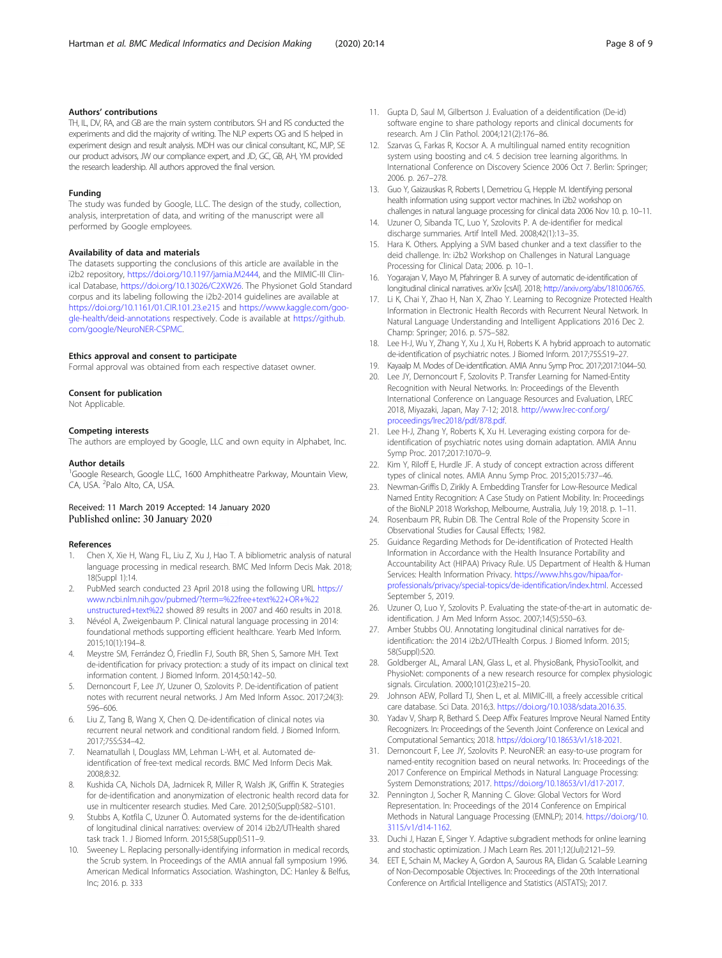#### <span id="page-7-0"></span>Authors' contributions

TH, IL, DV, RA, and GB are the main system contributors. SH and RS conducted the experiments and did the majority of writing. The NLP experts OG and IS helped in experiment design and result analysis. MDH was our clinical consultant, KC, MJP, SE our product advisors, JW our compliance expert, and JD, GC, GB, AH, YM provided the research leadership. All authors approved the final version.

#### Funding

The study was funded by Google, LLC. The design of the study, collection, analysis, interpretation of data, and writing of the manuscript were all performed by Google employees.

#### Availability of data and materials

The datasets supporting the conclusions of this article are available in the i2b2 repository, <https://doi.org/10.1197/jamia.M2444>, and the MIMIC-III Clinical Database, <https://doi.org/10.13026/C2XW26>. The Physionet Gold Standard corpus and its labeling following the i2b2-2014 guidelines are available at <https://doi.org/10.1161/01.CIR.101.23.e215> and [https://www.kaggle.com/goo](https://www.kaggle.com/google-health/deid-annotations)[gle-health/deid-annotations](https://www.kaggle.com/google-health/deid-annotations) respectively. Code is available at [https://github.](https://github.com/google/NeuroNER-CSPMC) [com/google/NeuroNER-CSPMC.](https://github.com/google/NeuroNER-CSPMC)

#### Ethics approval and consent to participate

Formal approval was obtained from each respective dataset owner.

#### Consent for publication

Not Applicable.

#### Competing interests

The authors are employed by Google, LLC and own equity in Alphabet, Inc.

#### Author details

<sup>1</sup>Google Research, Google LLC, 1600 Amphitheatre Parkway, Mountain View, CA, USA. <sup>2</sup>Palo Alto, CA, USA.

#### Received: 11 March 2019 Accepted: 14 January 2020 Published online: 30 January 2020

#### References

- 1. Chen X, Xie H, Wang FL, Liu Z, Xu J, Hao T. A bibliometric analysis of natural language processing in medical research. BMC Med Inform Decis Mak. 2018; 18(Suppl 1):14.
- 2. PubMed search conducted 23 April 2018 using the following URL [https://](https://www.ncbi.nlm.nih.gov/pubmed/?term=%22free+text%22+OR+%22unstructured+text%22) [www.ncbi.nlm.nih.gov/pubmed/?term=%22free+text%22+OR+%22](https://www.ncbi.nlm.nih.gov/pubmed/?term=%22free+text%22+OR+%22unstructured+text%22) [unstructured+text%22](https://www.ncbi.nlm.nih.gov/pubmed/?term=%22free+text%22+OR+%22unstructured+text%22) showed 89 results in 2007 and 460 results in 2018.
- 3. Névéol A, Zweigenbaum P. Clinical natural language processing in 2014: foundational methods supporting efficient healthcare. Yearb Med Inform. 2015;10(1):194–8.
- 4. Meystre SM, Ferrández Ó, Friedlin FJ, South BR, Shen S, Samore MH. Text de-identification for privacy protection: a study of its impact on clinical text information content. J Biomed Inform. 2014;50:142–50.
- 5. Dernoncourt F, Lee JY, Uzuner O, Szolovits P. De-identification of patient notes with recurrent neural networks. J Am Med Inform Assoc. 2017;24(3): 596–606.
- 6. Liu Z, Tang B, Wang X, Chen Q. De-identification of clinical notes via recurrent neural network and conditional random field. J Biomed Inform. 2017;75S:S34–42.
- 7. Neamatullah I, Douglass MM, Lehman L-WH, et al. Automated deidentification of free-text medical records. BMC Med Inform Decis Mak. 2008;8:32.
- 8. Kushida CA, Nichols DA, Jadrnicek R, Miller R, Walsh JK, Griffin K. Strategies for de-identification and anonymization of electronic health record data for use in multicenter research studies. Med Care. 2012;50(Suppl):S82–S101.
- Stubbs A, Kotfila C, Uzuner Ö. Automated systems for the de-identification of longitudinal clinical narratives: overview of 2014 i2b2/UTHealth shared task track 1. J Biomed Inform. 2015;58(Suppl):S11–9.
- 10. Sweeney L. Replacing personally-identifying information in medical records, the Scrub system. In Proceedings of the AMIA annual fall symposium 1996. American Medical Informatics Association. Washington, DC: Hanley & Belfus, Inc; 2016. p. 333
- 11. Gupta D, Saul M, Gilbertson J. Evaluation of a deidentification (De-id) software engine to share pathology reports and clinical documents for research. Am J Clin Pathol. 2004;121(2):176–86.
- 12. Szarvas G, Farkas R, Kocsor A. A multilingual named entity recognition system using boosting and c4. 5 decision tree learning algorithms. In International Conference on Discovery Science 2006 Oct 7. Berlin: Springer; 2006. p. 267–278.
- 13. Guo Y, Gaizauskas R, Roberts I, Demetriou G, Hepple M. Identifying personal health information using support vector machines. In i2b2 workshop on challenges in natural language processing for clinical data 2006 Nov 10. p. 10–11.
- 14. Uzuner O, Sibanda TC, Luo Y, Szolovits P. A de-identifier for medical discharge summaries. Artif Intell Med. 2008;42(1):13–35.
- 15. Hara K. Others. Applying a SVM based chunker and a text classifier to the deid challenge. In: i2b2 Workshop on Challenges in Natural Language Processing for Clinical Data; 2006. p. 10–1.
- 16. Yogarajan V, Mayo M, Pfahringer B. A survey of automatic de-identification of longitudinal clinical narratives. arXiv [csAI]. 2018; <http://arxiv.org/abs/1810.06765>.
- 17. Li K, Chai Y, Zhao H, Nan X, Zhao Y. Learning to Recognize Protected Health Information in Electronic Health Records with Recurrent Neural Network. In Natural Language Understanding and Intelligent Applications 2016 Dec 2. Champ: Springer; 2016. p. 575–582.
- 18. Lee H-J, Wu Y, Zhang Y, Xu J, Xu H, Roberts K. A hybrid approach to automatic de-identification of psychiatric notes. J Biomed Inform. 2017;75S:S19–27.
- 19. Kayaalp M. Modes of De-identification. AMIA Annu Symp Proc. 2017;2017:1044–50.
- 20. Lee JY, Dernoncourt F, Szolovits P. Transfer Learning for Named-Entity Recognition with Neural Networks. In: Proceedings of the Eleventh International Conference on Language Resources and Evaluation, LREC 2018, Miyazaki, Japan, May 7-12; 2018. [http://www.lrec-conf.org/](http://www.lrec-conf.org/proceedings/lrec2018/pdf/878.pdf) [proceedings/lrec2018/pdf/878.pdf.](http://www.lrec-conf.org/proceedings/lrec2018/pdf/878.pdf)
- 21. Lee H-J, Zhang Y, Roberts K, Xu H. Leveraging existing corpora for deidentification of psychiatric notes using domain adaptation. AMIA Annu Symp Proc. 2017;2017:1070–9.
- 22. Kim Y, Riloff E, Hurdle JF. A study of concept extraction across different types of clinical notes. AMIA Annu Symp Proc. 2015;2015:737–46.
- 23. Newman-Griffis D, Zirikly A. Embedding Transfer for Low-Resource Medical Named Entity Recognition: A Case Study on Patient Mobility. In: Proceedings of the BioNLP 2018 Workshop, Melbourne, Australia, July 19; 2018. p. 1–11.
- 24. Rosenbaum PR, Rubin DB. The Central Role of the Propensity Score in Observational Studies for Causal Effects; 1982.
- 25. Guidance Regarding Methods for De-identification of Protected Health Information in Accordance with the Health Insurance Portability and Accountability Act (HIPAA) Privacy Rule. US Department of Health & Human Services: Health Information Privacy. [https://www.hhs.gov/hipaa/for](https://www.hhs.gov/hipaa/for-professionals/privacy/special-topics/de-identification/index.html)[professionals/privacy/special-topics/de-identification/index.html.](https://www.hhs.gov/hipaa/for-professionals/privacy/special-topics/de-identification/index.html) Accessed September 5, 2019.
- 26. Uzuner O, Luo Y, Szolovits P. Evaluating the state-of-the-art in automatic deidentification. J Am Med Inform Assoc. 2007;14(5):550–63.
- 27. Amber Stubbs OU. Annotating longitudinal clinical narratives for deidentification: the 2014 i2b2/UTHealth Corpus. J Biomed Inform. 2015; 58(Suppl):S20.
- 28. Goldberger AL, Amaral LAN, Glass L, et al. PhysioBank, PhysioToolkit, and PhysioNet: components of a new research resource for complex physiologic signals. Circulation. 2000;101(23):e215–20.
- 29. Johnson AEW, Pollard TJ, Shen L, et al. MIMIC-III, a freely accessible critical care database. Sci Data. 2016;3. [https://doi.org/10.1038/sdata.2016.35.](https://doi.org/10.1038/sdata.2016.35)
- 30. Yadav V, Sharp R, Bethard S. Deep Affix Features Improve Neural Named Entity Recognizers. In: Proceedings of the Seventh Joint Conference on Lexical and Computational Semantics; 2018. [https://doi.org/10.18653/v1/s18-2021.](https://doi.org/10.18653/v1/s18-2021)
- 31. Dernoncourt F, Lee JY, Szolovits P. NeuroNER: an easy-to-use program for named-entity recognition based on neural networks. In: Proceedings of the 2017 Conference on Empirical Methods in Natural Language Processing: System Demonstrations; 2017. [https://doi.org/10.18653/v1/d17-2017.](https://doi.org/10.18653/v1/d17-2017)
- 32. Pennington J, Socher R, Manning C. Glove: Global Vectors for Word Representation. In: Proceedings of the 2014 Conference on Empirical Methods in Natural Language Processing (EMNLP); 2014. [https://doi.org/10.](https://doi.org/10.3115/v1/d14-1162) [3115/v1/d14-1162](https://doi.org/10.3115/v1/d14-1162).
- 33. Duchi J, Hazan E, Singer Y. Adaptive subgradient methods for online learning and stochastic optimization. J Mach Learn Res. 2011;12(Jul):2121–59.
- 34. EET E, Schain M, Mackey A, Gordon A, Saurous RA, Elidan G. Scalable Learning of Non-Decomposable Objectives. In: Proceedings of the 20th International Conference on Artificial Intelligence and Statistics (AISTATS); 2017.